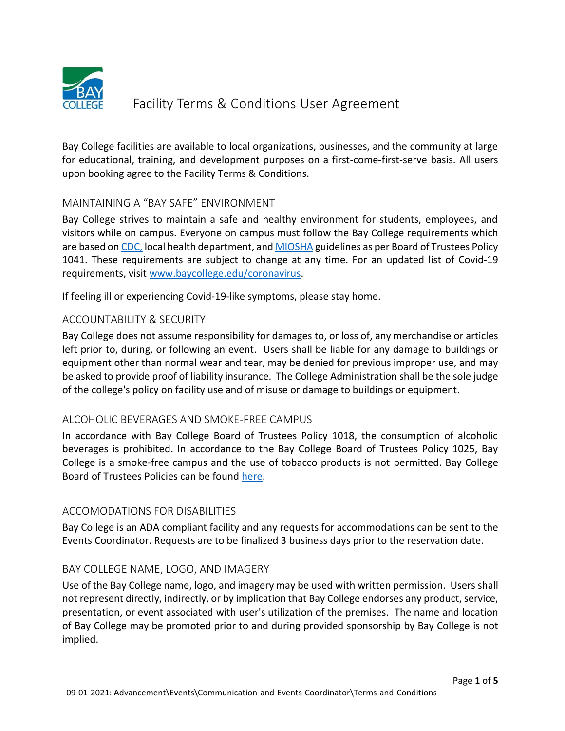

Bay College facilities are available to local organizations, businesses, and the community at large for educational, training, and development purposes on a first-come-first-serve basis. All users upon booking agree to the Facility Terms & Conditions.

# MAINTAINING A "BAY SAFE" ENVIRONMENT

Bay College strives to maintain a safe and healthy environment for students, employees, and visitors while on campus. Everyone on campus must follow the Bay College requirements which are based on [CDC,](https://www.cdc.gov/coronavirus/2019-ncov/php/contact-tracing/contact-tracing-resources.html?CDC_AA_refVal=https%3A%2F%2Fwww.cdc.gov%2Fcoronavirus%2F2019-ncov%2Fphp%2Fopen-america%2Fcontact-tracing-resources.html) local health department, and [MIOSHA](https://www.michigan.gov/leo/0,5863,7-336-94422_11407---,00.html) guidelines as per Board of Trustees Policy 1041. These requirements are subject to change at any time. For an updated list of Covid-19 requirements, visit [www.baycollege.edu/coronavirus.](http://www.baycollege.edu/coronavirus)

If feeling ill or experiencing Covid-19-like symptoms, please stay home.

# ACCOUNTABILITY & SECURITY

Bay College does not assume responsibility for damages to, or loss of, any merchandise or articles left prior to, during, or following an event. Users shall be liable for any damage to buildings or equipment other than normal wear and tear, may be denied for previous improper use, and may be asked to provide proof of liability insurance. The College Administration shall be the sole judge of the college's policy on facility use and of misuse or damage to buildings or equipment.

# ALCOHOLIC BEVERAGES AND SMOKE-FREE CAMPUS

In accordance with Bay College Board of Trustees Policy 1018, the consumption of alcoholic beverages is prohibited. In accordance to the Bay College Board of Trustees Policy 1025, Bay College is a smoke-free campus and the use of tobacco products is not permitted. Bay College Board of Trustees Policies can be found [here.](https://mybay.baycollege.edu/ICS/Departments/Administration/Board_Policies.jnz?portlet=Current_Board_Policies&_portletview_=true)

# ACCOMODATIONS FOR DISABILITIES

Bay College is an ADA compliant facility and any requests for accommodations can be sent to the Events Coordinator. Requests are to be finalized 3 business days prior to the reservation date.

# BAY COLLEGE NAME, LOGO, AND IMAGERY

Use of the Bay College name, logo, and imagery may be used with written permission. Users shall not represent directly, indirectly, or by implication that Bay College endorses any product, service, presentation, or event associated with user's utilization of the premises. The name and location of Bay College may be promoted prior to and during provided sponsorship by Bay College is not implied.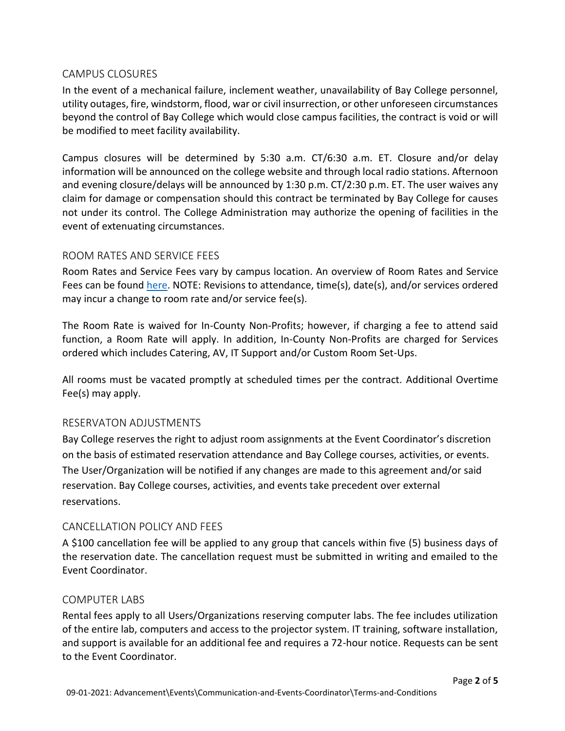## CAMPUS CLOSURES

In the event of a mechanical failure, inclement weather, unavailability of Bay College personnel, utility outages, fire, windstorm, flood, war or civil insurrection, or other unforeseen circumstances beyond the control of Bay College which would close campus facilities, the contract is void or will be modified to meet facility availability.

Campus closures will be determined by 5:30 a.m. CT/6:30 a.m. ET. Closure and/or delay information will be announced on the college website and through local radio stations. Afternoon and evening closure/delays will be announced by 1:30 p.m. CT/2:30 p.m. ET. The user waives any claim for damage or compensation should this contract be terminated by Bay College for causes not under its control. The College Administration may authorize the opening of facilities in the event of extenuating circumstances.

## ROOM RATES AND SERVICE FEES

Room Rates and Service Fees vary by campus location. An overview of Room Rates and Service Fees can be found [here.](https://www.baycollege.edu/on-campus/event-services.php) NOTE: Revisions to attendance, time(s), date(s), and/or services ordered may incur a change to room rate and/or service fee(s).

The Room Rate is waived for In-County Non-Profits; however, if charging a fee to attend said function, a Room Rate will apply. In addition, In-County Non-Profits are charged for Services ordered which includes Catering, AV, IT Support and/or Custom Room Set-Ups.

All rooms must be vacated promptly at scheduled times per the contract. Additional Overtime Fee(s) may apply.

# RESERVATON ADJUSTMENTS

Bay College reserves the right to adjust room assignments at the Event Coordinator's discretion on the basis of estimated reservation attendance and Bay College courses, activities, or events. The User/Organization will be notified if any changes are made to this agreement and/or said reservation. Bay College courses, activities, and events take precedent over external reservations.

# CANCELLATION POLICY AND FEES

A \$100 cancellation fee will be applied to any group that cancels within five (5) business days of the reservation date. The cancellation request must be submitted in writing and emailed to the Event Coordinator.

#### COMPUTER LABS

Rental fees apply to all Users/Organizations reserving computer labs. The fee includes utilization of the entire lab, computers and access to the projector system. IT training, software installation, and support is available for an additional fee and requires a 72-hour notice. Requests can be sent to the Event Coordinator.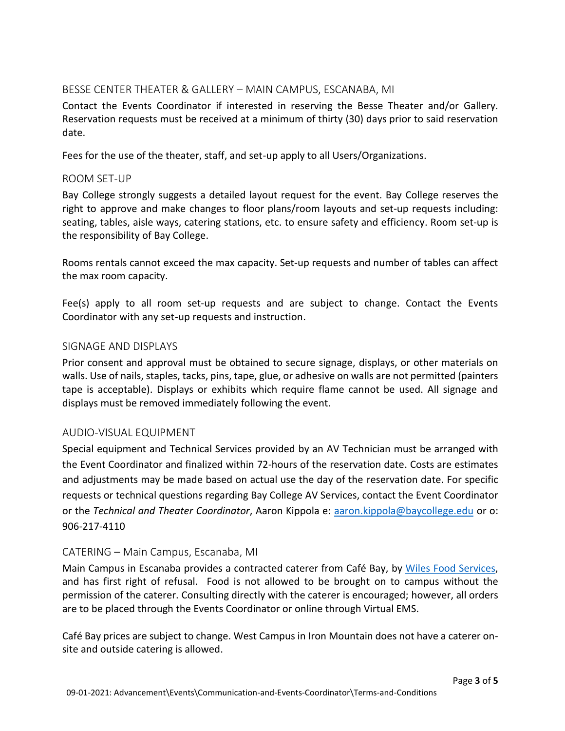## BESSE CENTER THEATER & GALLERY – MAIN CAMPUS, ESCANABA, MI

Contact the Events Coordinator if interested in reserving the Besse Theater and/or Gallery. Reservation requests must be received at a minimum of thirty (30) days prior to said reservation date.

Fees for the use of the theater, staff, and set-up apply to all Users/Organizations.

#### ROOM SET-UP

Bay College strongly suggests a detailed layout request for the event. Bay College reserves the right to approve and make changes to floor plans/room layouts and set-up requests including: seating, tables, aisle ways, catering stations, etc. to ensure safety and efficiency. Room set-up is the responsibility of Bay College.

Rooms rentals cannot exceed the max capacity. Set-up requests and number of tables can affect the max room capacity.

Fee(s) apply to all room set-up requests and are subject to change. Contact the Events Coordinator with any set-up requests and instruction.

## SIGNAGE AND DISPLAYS

Prior consent and approval must be obtained to secure signage, displays, or other materials on walls. Use of nails, staples, tacks, pins, tape, glue, or adhesive on walls are not permitted (painters tape is acceptable). Displays or exhibits which require flame cannot be used. All signage and displays must be removed immediately following the event.

# AUDIO-VISUAL EQUIPMENT

Special equipment and Technical Services provided by an AV Technician must be arranged with the Event Coordinator and finalized within 72-hours of the reservation date. Costs are estimates and adjustments may be made based on actual use the day of the reservation date. For specific requests or technical questions regarding Bay College AV Services, contact the Event Coordinator or the *Technical and Theater Coordinator*, Aaron Kippola e: [aaron.kippola@baycollege.edu](mailto:aaron.kippola@baycollege.edu) or o: 906-217-4110

# CATERING – Main Campus, Escanaba, MI

Main Campus in Escanaba provides a contracted caterer from Café Bay, by [Wiles Food Services,](https://www.wilesfoodservices.com/index.html) and has first right of refusal. Food is not allowed to be brought on to campus without the permission of the caterer. Consulting directly with the caterer is encouraged; however, all orders are to be placed through the Events Coordinator or online through Virtual EMS.

Café Bay prices are subject to change. West Campus in Iron Mountain does not have a caterer onsite and outside catering is allowed.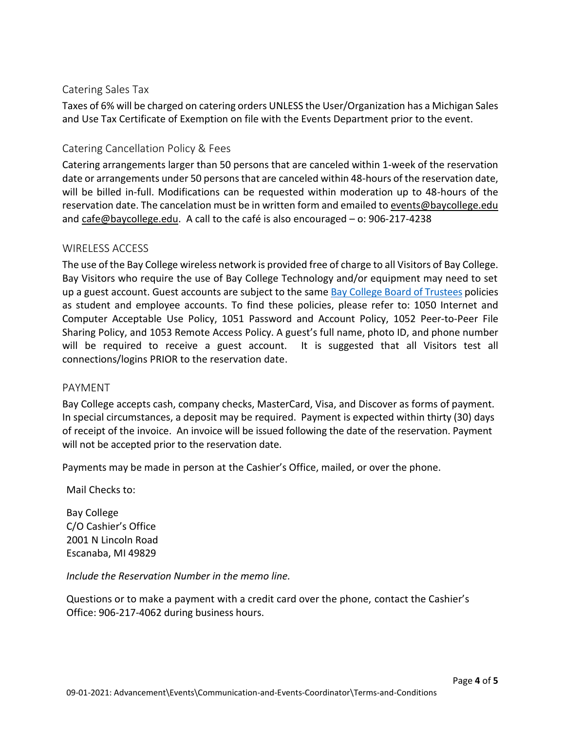## Catering Sales Tax

Taxes of 6% will be charged on catering orders UNLESS the User/Organization has a Michigan Sales and Use Tax Certificate of Exemption on file with the Events Department prior to the event.

## Catering Cancellation Policy & Fees

Catering arrangements larger than 50 persons that are canceled within 1-week of the reservation date or arrangements under 50 persons that are canceled within 48-hours of the reservation date, will be billed in-full. Modifications can be requested within moderation up to 48-hours of the reservation date. The cancelation must be in written form and emailed to [events@baycollege.edu](mailto:events@baycollege.edu)  and [cafe@baycollege.edu.](mailto:cafe@baycollege.edu) A call to the café is also encouraged – o: 906-217-4238

## WIRELESS ACCESS

The use of the Bay College wireless network is provided free of charge to all Visitors of Bay College. Bay Visitors who require the use of Bay College Technology and/or equipment may need to set up a guest account. Guest accounts are subject to the same [Bay College Board](https://mybay.baycollege.edu/ICS/Departments/Administration/Board_Policies.jnz?portlet=Current_Board_Policies&_portletview_=true) of Trustees policies as student and employee accounts. To find these policies, please refer to: 1050 Internet and Computer Acceptable Use Policy, 1051 Password and Account Policy, 1052 Peer-to-Peer File Sharing Policy, and 1053 Remote Access Policy. A guest's full name, photo ID, and phone number will be required to receive a guest account. It is suggested that all Visitors test all connections/logins PRIOR to the reservation date.

#### PAYMENT

Bay College accepts cash, company checks, MasterCard, Visa, and Discover as forms of payment. In special circumstances, a deposit may be required. Payment is expected within thirty (30) days of receipt of the invoice. An invoice will be issued following the date of the reservation. Payment will not be accepted prior to the reservation date.

Payments may be made in person at the Cashier's Office, mailed, or over the phone.

Mail Checks to:

Bay College C/O Cashier's Office 2001 N Lincoln Road Escanaba, MI 49829

*Include the Reservation Number in the memo line.*

Questions or to make a payment with a credit card over the phone, contact the Cashier's Office: 906-217-4062 during business hours.